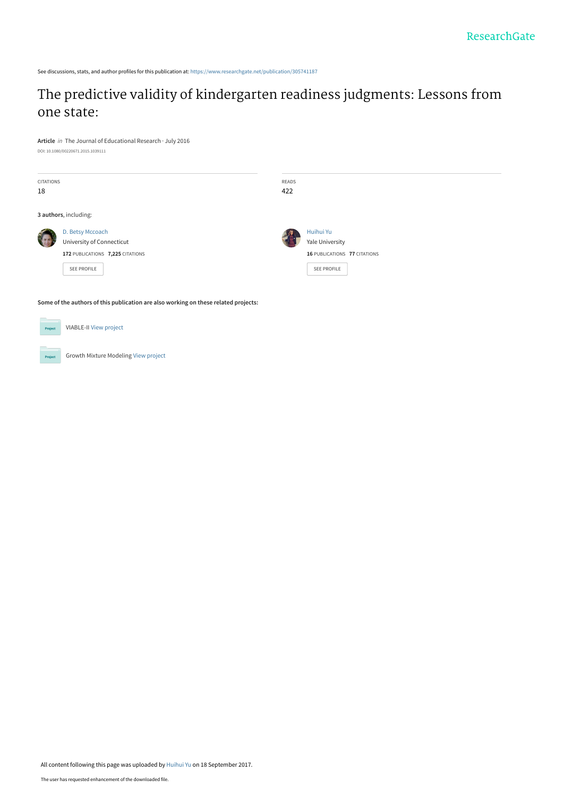See discussions, stats, and author profiles for this publication at: [https://www.researchgate.net/publication/305741187](https://www.researchgate.net/publication/305741187_The_predictive_validity_of_kindergarten_readiness_judgments_Lessons_from_one_state?enrichId=rgreq-d865f7017b091bd93107150d1ee58ad1-XXX&enrichSource=Y292ZXJQYWdlOzMwNTc0MTE4NztBUzo1Mzk5MzI1MTI4NDE3MzNAMTUwNTc0MTM1MDIwOQ%3D%3D&el=1_x_2&_esc=publicationCoverPdf)

# [The predictive validity of kindergarten readiness judgments: Lessons from](https://www.researchgate.net/publication/305741187_The_predictive_validity_of_kindergarten_readiness_judgments_Lessons_from_one_state?enrichId=rgreq-d865f7017b091bd93107150d1ee58ad1-XXX&enrichSource=Y292ZXJQYWdlOzMwNTc0MTE4NztBUzo1Mzk5MzI1MTI4NDE3MzNAMTUwNTc0MTM1MDIwOQ%3D%3D&el=1_x_3&_esc=publicationCoverPdf) one state:

**Article** in The Journal of Educational Research · July 2016 DOI: 10.1080/00220671.2015.1039111

| <b>CITATIONS</b><br>18 |                                                                                                         | READS<br>422 |                                                                             |
|------------------------|---------------------------------------------------------------------------------------------------------|--------------|-----------------------------------------------------------------------------|
|                        | 3 authors, including:                                                                                   |              |                                                                             |
|                        | D. Betsy Mccoach<br>University of Connecticut<br>172 PUBLICATIONS 7,225 CITATIONS<br><b>SEE PROFILE</b> |              | Huihui Yu<br>Yale University<br>16 PUBLICATIONS 77 CITATIONS<br>SEE PROFILE |
|                        |                                                                                                         |              |                                                                             |

**Some of the authors of this publication are also working on these related projects:**



**Project** 

Growth Mixture Modeling [View project](https://www.researchgate.net/project/Growth-Mixture-Modeling?enrichId=rgreq-d865f7017b091bd93107150d1ee58ad1-XXX&enrichSource=Y292ZXJQYWdlOzMwNTc0MTE4NztBUzo1Mzk5MzI1MTI4NDE3MzNAMTUwNTc0MTM1MDIwOQ%3D%3D&el=1_x_9&_esc=publicationCoverPdf)

VIABLE-II [View project](https://www.researchgate.net/project/VIABLE-II?enrichId=rgreq-d865f7017b091bd93107150d1ee58ad1-XXX&enrichSource=Y292ZXJQYWdlOzMwNTc0MTE4NztBUzo1Mzk5MzI1MTI4NDE3MzNAMTUwNTc0MTM1MDIwOQ%3D%3D&el=1_x_9&_esc=publicationCoverPdf)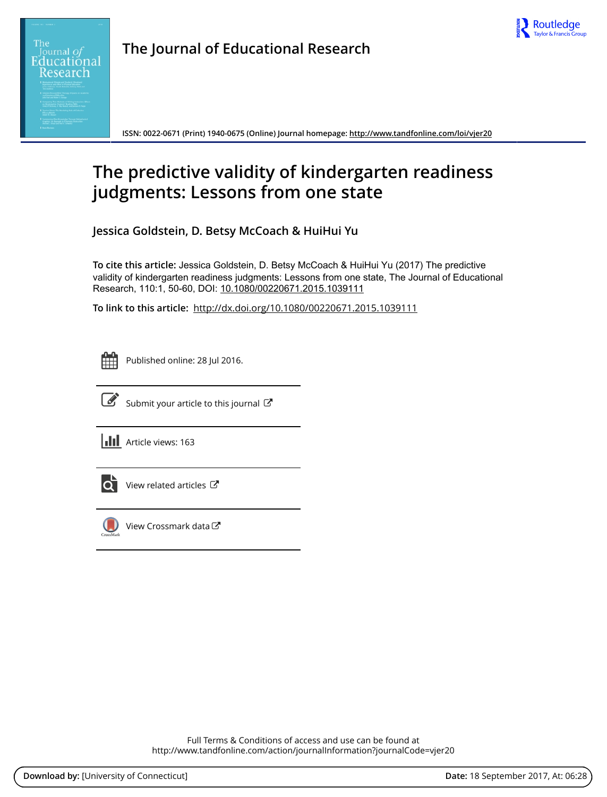

**The Journal of Educational Research**

**ISSN: 0022-0671 (Print) 1940-0675 (Online) Journal homepage:<http://www.tandfonline.com/loi/vjer20>**

# **The predictive validity of kindergarten readiness judgments: Lessons from one state**

**Jessica Goldstein, D. Betsy McCoach & HuiHui Yu**

**To cite this article:** Jessica Goldstein, D. Betsy McCoach & HuiHui Yu (2017) The predictive validity of kindergarten readiness judgments: Lessons from one state, The Journal of Educational Research, 110:1, 50-60, DOI: [10.1080/00220671.2015.1039111](http://www.tandfonline.com/action/showCitFormats?doi=10.1080/00220671.2015.1039111)

**To link to this article:** <http://dx.doi.org/10.1080/00220671.2015.1039111>

|  | -- |  |
|--|----|--|
|  |    |  |
|  |    |  |
|  |    |  |

Published online: 28 Jul 2016.



 $\overrightarrow{S}$  [Submit your article to this journal](http://www.tandfonline.com/action/authorSubmission?journalCode=vjer20&show=instructions)  $\overrightarrow{S}$ 

**III** Article views: 163



 $\overline{Q}$  [View related articles](http://www.tandfonline.com/doi/mlt/10.1080/00220671.2015.1039111)  $\overline{C}$ 



 $\bigcirc$  [View Crossmark data](http://crossmark.crossref.org/dialog/?doi=10.1080/00220671.2015.1039111&domain=pdf&date_stamp=2016-07-28) $\mathbb{Z}$ 

Full Terms & Conditions of access and use can be found at <http://www.tandfonline.com/action/journalInformation?journalCode=vjer20>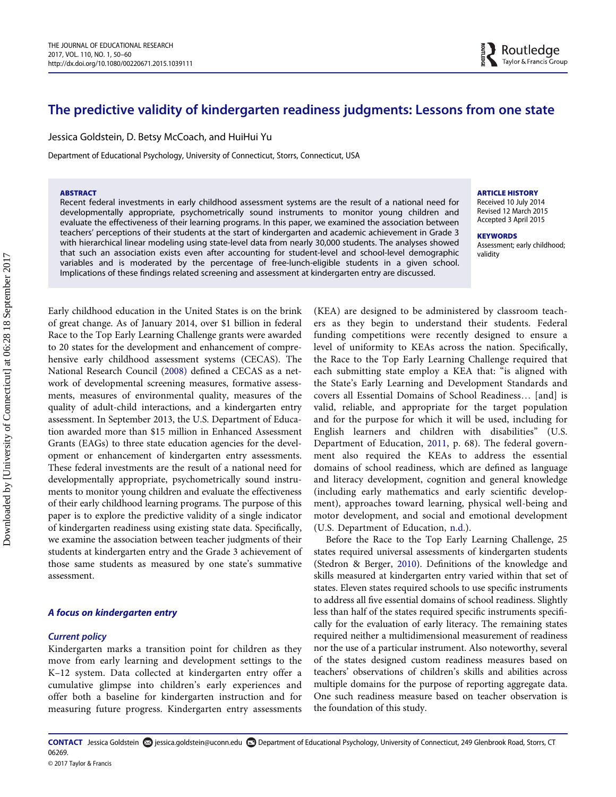# The predictive validity of kindergarten readiness judgments: Lessons from one state

Jessica Goldstein, D. Betsy McCoach, and HuiHui Yu

Department of Educational Psychology, University of Connecticut, Storrs, Connecticut, USA

#### ABSTRACT

Recent federal investments in early childhood assessment systems are the result of a national need for developmentally appropriate, psychometrically sound instruments to monitor young children and evaluate the effectiveness of their learning programs. In this paper, we examined the association between teachers' perceptions of their students at the start of kindergarten and academic achievement in Grade 3 with hierarchical linear modeling using state-level data from nearly 30,000 students. The analyses showed that such an association exists even after accounting for student-level and school-level demographic variables and is moderated by the percentage of free-lunch-eligible students in a given school. Implications of these findings related screening and assessment at kindergarten entry are discussed.

ARTICLE HISTORY

Received 10 July 2014 Revised 12 March 2015 Accepted 3 April 2015

**KEYWORDS** Assessment; early childhood; validity

Early childhood education in the United States is on the brink of great change. As of January 2014, over \$1 billion in federal Race to the Top Early Learning Challenge grants were awarded to 20 states for the development and enhancement of comprehensive early childhood assessment systems (CECAS). The National Research Council ([2008\)](#page-11-0) defined a CECAS as a network of developmental screening measures, formative assessments, measures of environmental quality, measures of the quality of adult-child interactions, and a kindergarten entry assessment. In September 2013, the U.S. Department of Education awarded more than \$15 million in Enhanced Assessment Grants (EAGs) to three state education agencies for the development or enhancement of kindergarten entry assessments. These federal investments are the result of a national need for developmentally appropriate, psychometrically sound instruments to monitor young children and evaluate the effectiveness of their early childhood learning programs. The purpose of this paper is to explore the predictive validity of a single indicator of kindergarten readiness using existing state data. Specifically, we examine the association between teacher judgments of their students at kindergarten entry and the Grade 3 achievement of those same students as measured by one state's summative assessment.

# A focus on kindergarten entry

#### Current policy

Kindergarten marks a transition point for children as they move from early learning and development settings to the K–12 system. Data collected at kindergarten entry offer a cumulative glimpse into children's early experiences and offer both a baseline for kindergarten instruction and for measuring future progress. Kindergarten entry assessments

(KEA) are designed to be administered by classroom teachers as they begin to understand their students. Federal funding competitions were recently designed to ensure a level of uniformity to KEAs across the nation. Specifically, the Race to the Top Early Learning Challenge required that each submitting state employ a KEA that: "is aligned with the State's Early Learning and Development Standards and covers all Essential Domains of School Readiness… [and] is valid, reliable, and appropriate for the target population and for the purpose for which it will be used, including for English learners and children with disabilities" (U.S. Department of Education, [2011](#page-12-0), p. 68). The federal government also required the KEAs to address the essential domains of school readiness, which are defined as language and literacy development, cognition and general knowledge (including early mathematics and early scientific development), approaches toward learning, physical well-being and motor development, and social and emotional development (U.S. Department of Education, [n.d.\)](#page-12-1).

Before the Race to the Top Early Learning Challenge, 25 states required universal assessments of kindergarten students (Stedron & Berger, [2010](#page-12-2)). Definitions of the knowledge and skills measured at kindergarten entry varied within that set of states. Eleven states required schools to use specific instruments to address all five essential domains of school readiness. Slightly less than half of the states required specific instruments specifically for the evaluation of early literacy. The remaining states required neither a multidimensional measurement of readiness nor the use of a particular instrument. Also noteworthy, several of the states designed custom readiness measures based on teachers' observations of children's skills and abilities across multiple domains for the purpose of reporting aggregate data. One such readiness measure based on teacher observation is the foundation of this study.

CONTACT Jessica Goldstein @ jessica.goldstein@uconn.edu @ Department of Educational Psychology, University of Connecticut, 249 Glenbrook Road, Storrs, CT 06269.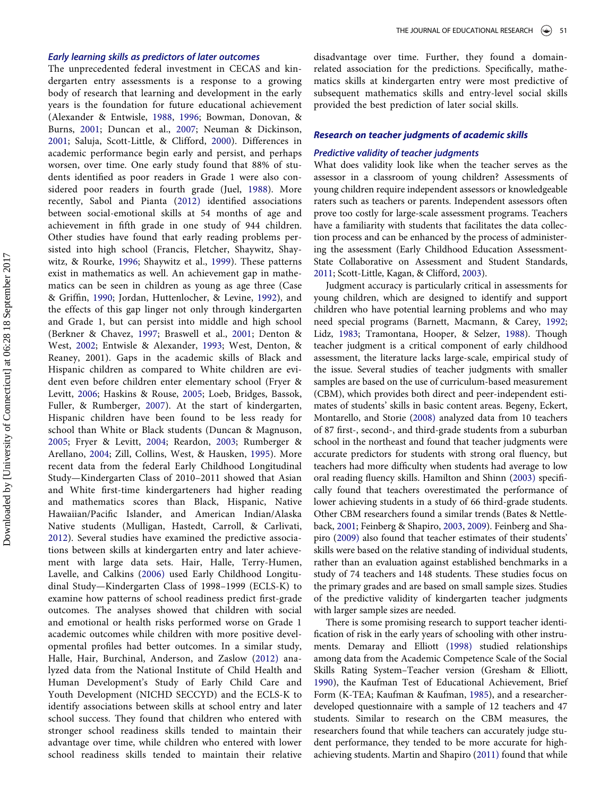#### Early learning skills as predictors of later outcomes

The unprecedented federal investment in CECAS and kindergarten entry assessments is a response to a growing body of research that learning and development in the early years is the foundation for future educational achievement (Alexander & Entwisle, [1988](#page-10-0), [1996;](#page-10-1) Bowman, Donovan, & Burns, [2001](#page-10-2); Duncan et al., [2007;](#page-11-1) Neuman & Dickinson, [2001](#page-11-2); Saluja, Scott-Little, & Clifford, [2000\)](#page-11-3). Differences in academic performance begin early and persist, and perhaps worsen, over time. One early study found that 88% of students identified as poor readers in Grade 1 were also considered poor readers in fourth grade (Juel, [1988](#page-11-4)). More recently, Sabol and Pianta [\(2012\)](#page-11-5) identified associations between social-emotional skills at 54 months of age and achievement in fifth grade in one study of 944 children. Other studies have found that early reading problems persisted into high school (Francis, Fletcher, Shaywitz, Shaywitz, & Rourke, [1996](#page-11-6); Shaywitz et al., [1999](#page-11-7)). These patterns exist in mathematics as well. An achievement gap in mathematics can be seen in children as young as age three (Case & Griffin, [1990;](#page-10-3) Jordan, Huttenlocher, & Levine, [1992](#page-11-8)), and the effects of this gap linger not only through kindergarten and Grade 1, but can persist into middle and high school (Berkner & Chavez, [1997;](#page-10-4) Braswell et al., [2001](#page-10-5); Denton & West, [2002](#page-11-9); Entwisle & Alexander, [1993;](#page-11-10) West, Denton, & Reaney, 2001). Gaps in the academic skills of Black and Hispanic children as compared to White children are evident even before children enter elementary school (Fryer & Levitt, [2006;](#page-11-11) Haskins & Rouse, [2005](#page-11-12); Loeb, Bridges, Bassok, Fuller, & Rumberger, [2007](#page-11-13)). At the start of kindergarten, Hispanic children have been found to be less ready for school than White or Black students (Duncan & Magnuson, [2005](#page-11-14); Fryer & Levitt, [2004](#page-11-15); Reardon, [2003](#page-11-16); Rumberger & Arellano, [2004;](#page-11-17) Zill, Collins, West, & Hausken, [1995\)](#page-10-6). More recent data from the federal Early Childhood Longitudinal Study—Kindergarten Class of 2010–2011 showed that Asian and White first-time kindergarteners had higher reading and mathematics scores than Black, Hispanic, Native Hawaiian/Pacific Islander, and American Indian/Alaska Native students (Mulligan, Hastedt, Carroll, & Carlivati, [2012](#page-11-18)). Several studies have examined the predictive associations between skills at kindergarten entry and later achievement with large data sets. Hair, Halle, Terry-Humen, Lavelle, and Calkins ([2006\)](#page-11-19) used Early Childhood Longitudinal Study—Kindergarten Class of 1998–1999 (ECLS-K) to examine how patterns of school readiness predict first-grade outcomes. The analyses showed that children with social and emotional or health risks performed worse on Grade 1 academic outcomes while children with more positive developmental profiles had better outcomes. In a similar study, Halle, Hair, Burchinal, Anderson, and Zaslow ([2012\)](#page-11-20) analyzed data from the National Institute of Child Health and Human Development's Study of Early Child Care and Youth Development (NICHD SECCYD) and the ECLS-K to identify associations between skills at school entry and later school success. They found that children who entered with stronger school readiness skills tended to maintain their advantage over time, while children who entered with lower school readiness skills tended to maintain their relative

disadvantage over time. Further, they found a domainrelated association for the predictions. Specifically, mathematics skills at kindergarten entry were most predictive of subsequent mathematics skills and entry-level social skills provided the best prediction of later social skills.

#### Research on teacher judgments of academic skills

#### Predictive validity of teacher judgments

What does validity look like when the teacher serves as the assessor in a classroom of young children? Assessments of young children require independent assessors or knowledgeable raters such as teachers or parents. Independent assessors often prove too costly for large-scale assessment programs. Teachers have a familiarity with students that facilitates the data collection process and can be enhanced by the process of administering the assessment (Early Childhood Education Assessment-State Collaborative on Assessment and Student Standards, [2011](#page-11-21); Scott-Little, Kagan, & Clifford, [2003\)](#page-11-22).

Judgment accuracy is particularly critical in assessments for young children, which are designed to identify and support children who have potential learning problems and who may need special programs (Barnett, Macmann, & Carey, [1992;](#page-10-7) Lidz, [1983;](#page-11-23) Tramontana, Hooper, & Selzer, [1988\)](#page-12-3). Though teacher judgment is a critical component of early childhood assessment, the literature lacks large-scale, empirical study of the issue. Several studies of teacher judgments with smaller samples are based on the use of curriculum-based measurement (CBM), which provides both direct and peer-independent estimates of students' skills in basic content areas. Begeny, Eckert, Montarello, and Storie ([2008\)](#page-10-8) analyzed data from 10 teachers of 87 first-, second-, and third-grade students from a suburban school in the northeast and found that teacher judgments were accurate predictors for students with strong oral fluency, but teachers had more difficulty when students had average to low oral reading fluency skills. Hamilton and Shinn ([2003\)](#page-11-24) specifically found that teachers overestimated the performance of lower achieving students in a study of 66 third-grade students. Other CBM researchers found a similar trends (Bates & Nettleback, [2001](#page-10-9); Feinberg & Shapiro, [2003,](#page-11-25) [2009\)](#page-11-26). Feinberg and Shapiro ([2009\)](#page-11-26) also found that teacher estimates of their students' skills were based on the relative standing of individual students, rather than an evaluation against established benchmarks in a study of 74 teachers and 148 students. These studies focus on the primary grades and are based on small sample sizes. Studies of the predictive validity of kindergarten teacher judgments with larger sample sizes are needed.

There is some promising research to support teacher identification of risk in the early years of schooling with other instruments. Demaray and Elliott ([1998\)](#page-11-27) studied relationships among data from the Academic Competence Scale of the Social Skills Rating System–Teacher version (Gresham & Elliott, [1990](#page-11-28)), the Kaufman Test of Educational Achievement, Brief Form (K-TEA; Kaufman & Kaufman, [1985\)](#page-11-29), and a researcherdeveloped questionnaire with a sample of 12 teachers and 47 students. Similar to research on the CBM measures, the researchers found that while teachers can accurately judge student performance, they tended to be more accurate for highachieving students. Martin and Shapiro ([2011\)](#page-11-30) found that while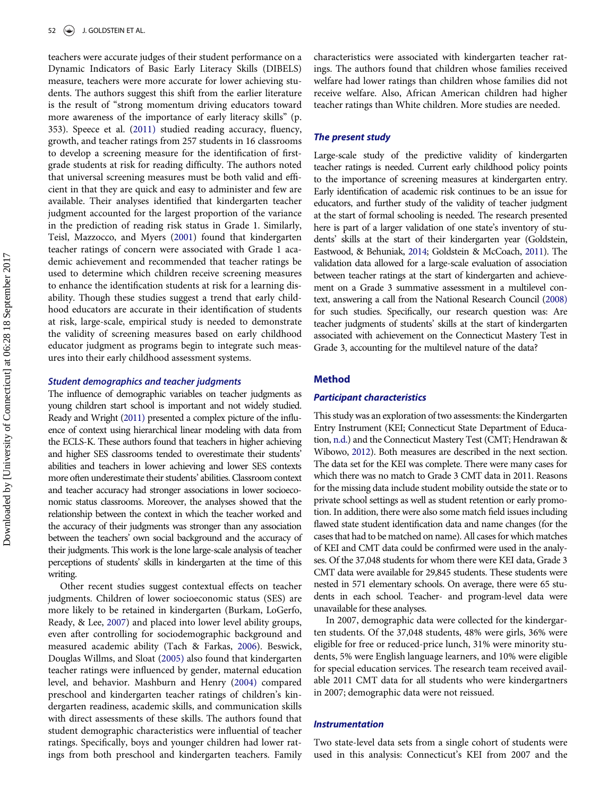teachers were accurate judges of their student performance on a Dynamic Indicators of Basic Early Literacy Skills (DIBELS) measure, teachers were more accurate for lower achieving students. The authors suggest this shift from the earlier literature is the result of "strong momentum driving educators toward more awareness of the importance of early literacy skills" (p. 353). Speece et al. [\(2011\)](#page-12-4) studied reading accuracy, fluency, growth, and teacher ratings from 257 students in 16 classrooms to develop a screening measure for the identification of firstgrade students at risk for reading difficulty. The authors noted that universal screening measures must be both valid and efficient in that they are quick and easy to administer and few are available. Their analyses identified that kindergarten teacher judgment accounted for the largest proportion of the variance in the prediction of reading risk status in Grade 1. Similarly, Teisl, Mazzocco, and Myers ([2001](#page-12-5)) found that kindergarten teacher ratings of concern were associated with Grade 1 academic achievement and recommended that teacher ratings be used to determine which children receive screening measures to enhance the identification students at risk for a learning disability. Though these studies suggest a trend that early childhood educators are accurate in their identification of students at risk, large-scale, empirical study is needed to demonstrate the validity of screening measures based on early childhood educator judgment as programs begin to integrate such measures into their early childhood assessment systems.

#### Student demographics and teacher judgments

The influence of demographic variables on teacher judgments as young children start school is important and not widely studied. Ready and Wright [\(2011\)](#page-11-31) presented a complex picture of the influence of context using hierarchical linear modeling with data from the ECLS-K. These authors found that teachers in higher achieving and higher SES classrooms tended to overestimate their students' abilities and teachers in lower achieving and lower SES contexts more often underestimate their students' abilities. Classroom context and teacher accuracy had stronger associations in lower socioeconomic status classrooms. Moreover, the analyses showed that the relationship between the context in which the teacher worked and the accuracy of their judgments was stronger than any association between the teachers' own social background and the accuracy of their judgments. This work is the lone large-scale analysis of teacher perceptions of students' skills in kindergarten at the time of this writing.

Other recent studies suggest contextual effects on teacher judgments. Children of lower socioeconomic status (SES) are more likely to be retained in kindergarten (Burkam, LoGerfo, Ready, & Lee, [2007](#page-10-10)) and placed into lower level ability groups, even after controlling for sociodemographic background and measured academic ability (Tach & Farkas, [2006](#page-12-6)). Beswick, Douglas Willms, and Sloat [\(2005\)](#page-10-11) also found that kindergarten teacher ratings were influenced by gender, maternal education level, and behavior. Mashburn and Henry ([2004\)](#page-11-32) compared preschool and kindergarten teacher ratings of children's kindergarten readiness, academic skills, and communication skills with direct assessments of these skills. The authors found that student demographic characteristics were influential of teacher ratings. Specifically, boys and younger children had lower ratings from both preschool and kindergarten teachers. Family characteristics were associated with kindergarten teacher ratings. The authors found that children whose families received welfare had lower ratings than children whose families did not receive welfare. Also, African American children had higher teacher ratings than White children. More studies are needed.

#### The present study

Large-scale study of the predictive validity of kindergarten teacher ratings is needed. Current early childhood policy points to the importance of screening measures at kindergarten entry. Early identification of academic risk continues to be an issue for educators, and further study of the validity of teacher judgment at the start of formal schooling is needed. The research presented here is part of a larger validation of one state's inventory of students' skills at the start of their kindergarten year (Goldstein, Eastwood, & Behuniak, [2014](#page-11-33); Goldstein & McCoach, [2011](#page-11-34)). The validation data allowed for a large-scale evaluation of association between teacher ratings at the start of kindergarten and achievement on a Grade 3 summative assessment in a multilevel context, answering a call from the National Research Council [\(2008\)](#page-11-0) for such studies. Specifically, our research question was: Are teacher judgments of students' skills at the start of kindergarten associated with achievement on the Connecticut Mastery Test in Grade 3, accounting for the multilevel nature of the data?

#### Method

#### Participant characteristics

This study was an exploration of two assessments: the Kindergarten Entry Instrument (KEI; Connecticut State Department of Education, [n.d.\)](#page-11-35) and the Connecticut Mastery Test (CMT; Hendrawan & Wibowo, [2012](#page-11-36)). Both measures are described in the next section. The data set for the KEI was complete. There were many cases for which there was no match to Grade 3 CMT data in 2011. Reasons for the missing data include student mobility outside the state or to private school settings as well as student retention or early promotion. In addition, there were also some match field issues including flawed state student identification data and name changes (for the cases that had to be matched on name). All cases for which matches of KEI and CMT data could be confirmed were used in the analyses. Of the 37,048 students for whom there were KEI data, Grade 3 CMT data were available for 29,845 students. These students were nested in 571 elementary schools. On average, there were 65 students in each school. Teacher- and program-level data were unavailable for these analyses.

In 2007, demographic data were collected for the kindergarten students. Of the 37,048 students, 48% were girls, 36% were eligible for free or reduced-price lunch, 31% were minority students, 5% were English language learners, and 10% were eligible for special education services. The research team received available 2011 CMT data for all students who were kindergartners in 2007; demographic data were not reissued.

#### Instrumentation

Two state-level data sets from a single cohort of students were used in this analysis: Connecticut's KEI from 2007 and the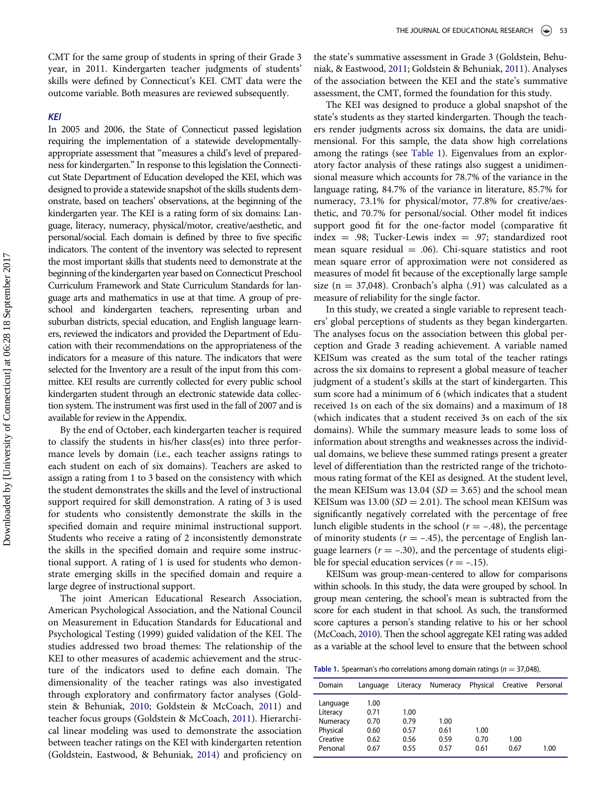CMT for the same group of students in spring of their Grade 3 year, in 2011. Kindergarten teacher judgments of students' skills were defined by Connecticut's KEI. CMT data were the outcome variable. Both measures are reviewed subsequently.

#### KEI

In 2005 and 2006, the State of Connecticut passed legislation requiring the implementation of a statewide developmentallyappropriate assessment that "measures a child's level of preparedness for kindergarten."In response to this legislation the Connecticut State Department of Education developed the KEI, which was designed to provide a statewide snapshot of the skills students demonstrate, based on teachers' observations, at the beginning of the kindergarten year. The KEI is a rating form of six domains: Language, literacy, numeracy, physical/motor, creative/aesthetic, and personal/social. Each domain is defined by three to five specific indicators. The content of the inventory was selected to represent the most important skills that students need to demonstrate at the beginning of the kindergarten year based on Connecticut Preschool Curriculum Framework and State Curriculum Standards for language arts and mathematics in use at that time. A group of preschool and kindergarten teachers, representing urban and suburban districts, special education, and English language learners, reviewed the indicators and provided the Department of Education with their recommendations on the appropriateness of the indicators for a measure of this nature. The indicators that were selected for the Inventory are a result of the input from this committee. KEI results are currently collected for every public school kindergarten student through an electronic statewide data collection system. The instrument was first used in the fall of 2007 and is available for review in the Appendix.

By the end of October, each kindergarten teacher is required to classify the students in his/her class(es) into three performance levels by domain (i.e., each teacher assigns ratings to each student on each of six domains). Teachers are asked to assign a rating from 1 to 3 based on the consistency with which the student demonstrates the skills and the level of instructional support required for skill demonstration. A rating of 3 is used for students who consistently demonstrate the skills in the specified domain and require minimal instructional support. Students who receive a rating of 2 inconsistently demonstrate the skills in the specified domain and require some instructional support. A rating of 1 is used for students who demonstrate emerging skills in the specified domain and require a large degree of instructional support.

<span id="page-5-0"></span>The joint American Educational Research Association, American Psychological Association, and the National Council on Measurement in Education Standards for Educational and Psychological Testing (1999) guided validation of the KEI. The studies addressed two broad themes: The relationship of the KEI to other measures of academic achievement and the structure of the indicators used to define each domain. The dimensionality of the teacher ratings was also investigated through exploratory and confirmatory factor analyses (Goldstein & Behuniak, [2010](#page-11-37); Goldstein & McCoach, [2011](#page-11-34)) and teacher focus groups (Goldstein & McCoach, [2011](#page-11-34)). Hierarchical linear modeling was used to demonstrate the association between teacher ratings on the KEI with kindergarten retention (Goldstein, Eastwood, & Behuniak, [2014\)](#page-11-33) and proficiency on

the state's summative assessment in Grade 3 (Goldstein, Behuniak, & Eastwood, [2011](#page-11-38); Goldstein & Behuniak, [2011](#page-11-38)). Analyses of the association between the KEI and the state's summative assessment, the CMT, formed the foundation for this study.

The KEI was designed to produce a global snapshot of the state's students as they started kindergarten. Though the teachers render judgments across six domains, the data are unidimensional. For this sample, the data show high correlations among the ratings (see [Table 1](#page-5-0)). Eigenvalues from an exploratory factor analysis of these ratings also suggest a unidimensional measure which accounts for 78.7% of the variance in the language rating, 84.7% of the variance in literature, 85.7% for numeracy, 73.1% for physical/motor, 77.8% for creative/aesthetic, and 70.7% for personal/social. Other model fit indices support good fit for the one-factor model (comparative fit index = .98; Tucker-Lewis index = .97; standardized root mean square residual  $= .06$ ). Chi-square statistics and root mean square error of approximation were not considered as measures of model fit because of the exceptionally large sample size ( $n = 37,048$ ). Cronbach's alpha (.91) was calculated as a measure of reliability for the single factor.

In this study, we created a single variable to represent teachers' global perceptions of students as they began kindergarten. The analyses focus on the association between this global perception and Grade 3 reading achievement. A variable named KEISum was created as the sum total of the teacher ratings across the six domains to represent a global measure of teacher judgment of a student's skills at the start of kindergarten. This sum score had a minimum of 6 (which indicates that a student received 1s on each of the six domains) and a maximum of 18 (which indicates that a student received 3s on each of the six domains). While the summary measure leads to some loss of information about strengths and weaknesses across the individual domains, we believe these summed ratings present a greater level of differentiation than the restricted range of the trichotomous rating format of the KEI as designed. At the student level, the mean KEISum was 13.04 ( $SD = 3.65$ ) and the school mean KEISum was 13.00 ( $SD = 2.01$ ). The school mean KEISum was significantly negatively correlated with the percentage of free lunch eligible students in the school ( $r = -.48$ ), the percentage of minority students ( $r = -.45$ ), the percentage of English language learners ( $r = -.30$ ), and the percentage of students eligible for special education services ( $r = -.15$ ).

KEISum was group-mean-centered to allow for comparisons within schools. In this study, the data were grouped by school. In group mean centering, the school's mean is subtracted from the score for each student in that school. As such, the transformed score captures a person's standing relative to his or her school (McCoach, [2010\)](#page-11-39). Then the school aggregate KEI rating was added as a variable at the school level to ensure that the between school

Table 1. Spearman's rho correlations among domain ratings ( $n = 37,048$ ).

| Domain                                                               | Language                                     | Literacy                             | Numeracy                     | Physical             | Creative     | Personal |
|----------------------------------------------------------------------|----------------------------------------------|--------------------------------------|------------------------------|----------------------|--------------|----------|
| Language<br>Literacy<br>Numeracy<br>Physical<br>Creative<br>Personal | 1.00<br>0.71<br>0.70<br>0.60<br>0.62<br>0.67 | 1.00<br>0.79<br>0.57<br>0.56<br>0.55 | 1.00<br>0.61<br>0.59<br>0.57 | 1.00<br>0.70<br>0.61 | 1.00<br>0.67 | 1.00     |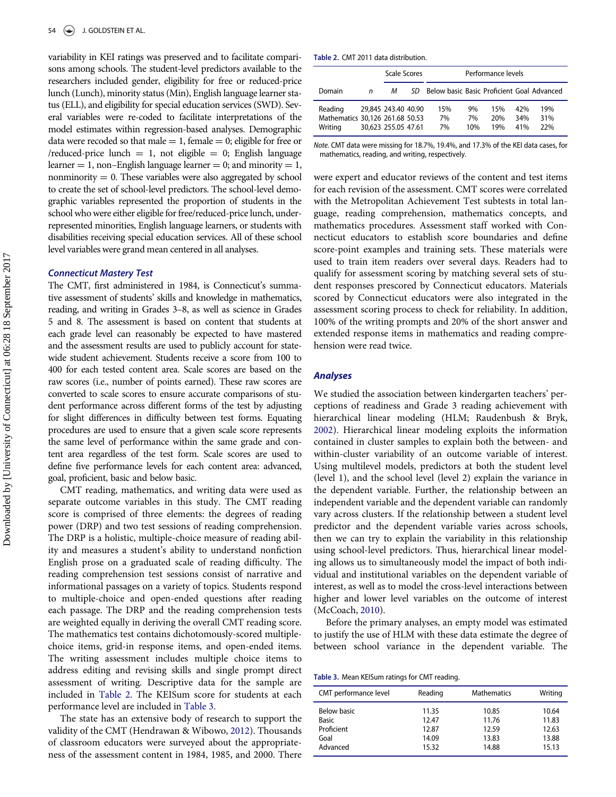<span id="page-6-0"></span>variability in KEI ratings was preserved and to facilitate comparisons among schools. The student-level predictors available to the researchers included gender, eligibility for free or reduced-price lunch (Lunch), minority status (Min), English language learner status (ELL), and eligibility for special education services (SWD). Several variables were re-coded to facilitate interpretations of the model estimates within regression-based analyses. Demographic data were recoded so that male  $= 1$ , female  $= 0$ ; eligible for free or /reduced-price lunch  $= 1$ , not eligible  $= 0$ ; English language learner  $= 1$ , non–English language learner  $= 0$ ; and minority  $= 1$ , nonminority  $= 0$ . These variables were also aggregated by school to create the set of school-level predictors. The school-level demographic variables represented the proportion of students in the school who were either eligible for free/reduced-price lunch, underrepresented minorities, English language learners, or students with disabilities receiving special education services. All of these school level variables were grand mean centered in all analyses.

#### Connecticut Mastery Test

The CMT, first administered in 1984, is Connecticut's summative assessment of students' skills and knowledge in mathematics, reading, and writing in Grades 3–8, as well as science in Grades 5 and 8. The assessment is based on content that students at each grade level can reasonably be expected to have mastered and the assessment results are used to publicly account for statewide student achievement. Students receive a score from 100 to 400 for each tested content area. Scale scores are based on the raw scores (i.e., number of points earned). These raw scores are converted to scale scores to ensure accurate comparisons of student performance across different forms of the test by adjusting for slight differences in difficulty between test forms. Equating procedures are used to ensure that a given scale score represents the same level of performance within the same grade and content area regardless of the test form. Scale scores are used to define five performance levels for each content area: advanced, goal, proficient, basic and below basic.

CMT reading, mathematics, and writing data were used as separate outcome variables in this study. The CMT reading score is comprised of three elements: the degrees of reading power (DRP) and two test sessions of reading comprehension. The DRP is a holistic, multiple-choice measure of reading ability and measures a student's ability to understand nonfiction English prose on a graduated scale of reading difficulty. The reading comprehension test sessions consist of narrative and informational passages on a variety of topics. Students respond to multiple-choice and open-ended questions after reading each passage. The DRP and the reading comprehension tests are weighted equally in deriving the overall CMT reading score. The mathematics test contains dichotomously-scored multiplechoice items, grid-in response items, and open-ended items. The writing assessment includes multiple choice items to address editing and revising skills and single prompt direct assessment of writing. Descriptive data for the sample are included in [Table 2](#page-6-0). The KEISum score for students at each performance level are included in [Table 3](#page-6-1).

<span id="page-6-1"></span>The state has an extensive body of research to support the validity of the CMT (Hendrawan & Wibowo, [2012](#page-11-36)). Thousands of classroom educators were surveyed about the appropriateness of the assessment content in 1984, 1985, and 2000. There

|  |  | Table 2. CMT 2011 data distribution. |
|--|--|--------------------------------------|
|  |  |                                      |

|                                                       |   | Scale Scores                               |     | Performance levels                         |                 |                   |                   |                   |
|-------------------------------------------------------|---|--------------------------------------------|-----|--------------------------------------------|-----------------|-------------------|-------------------|-------------------|
| Domain                                                | n | м                                          | SD. | Below basic Basic Proficient Goal Advanced |                 |                   |                   |                   |
| Reading<br>Mathematics 30,126 261.68 50.53<br>Writing |   | 29,845 243.40 40.90<br>30.623 255.05 47.61 |     | 15%<br>7%<br>7%                            | 9%<br>7%<br>10% | 15%<br>20%<br>19% | 42%<br>34%<br>41% | 19%<br>31%<br>22% |

Note. CMT data were missing for 18.7%, 19.4%, and 17.3% of the KEI data cases, for mathematics, reading, and writing, respectively.

were expert and educator reviews of the content and test items for each revision of the assessment. CMT scores were correlated with the Metropolitan Achievement Test subtests in total language, reading comprehension, mathematics concepts, and mathematics procedures. Assessment staff worked with Connecticut educators to establish score boundaries and define score-point examples and training sets. These materials were used to train item readers over several days. Readers had to qualify for assessment scoring by matching several sets of student responses prescored by Connecticut educators. Materials scored by Connecticut educators were also integrated in the assessment scoring process to check for reliability. In addition, 100% of the writing prompts and 20% of the short answer and extended response items in mathematics and reading comprehension were read twice.

#### Analyses

We studied the association between kindergarten teachers' perceptions of readiness and Grade 3 reading achievement with hierarchical linear modeling (HLM; Raudenbush & Bryk, [2002](#page-11-40)). Hierarchical linear modeling exploits the information contained in cluster samples to explain both the between- and within-cluster variability of an outcome variable of interest. Using multilevel models, predictors at both the student level (level 1), and the school level (level 2) explain the variance in the dependent variable. Further, the relationship between an independent variable and the dependent variable can randomly vary across clusters. If the relationship between a student level predictor and the dependent variable varies across schools, then we can try to explain the variability in this relationship using school-level predictors. Thus, hierarchical linear modeling allows us to simultaneously model the impact of both individual and institutional variables on the dependent variable of interest, as well as to model the cross-level interactions between higher and lower level variables on the outcome of interest (McCoach, [2010](#page-11-39)).

Before the primary analyses, an empty model was estimated to justify the use of HLM with these data estimate the degree of between school variance in the dependent variable. The

Table 3. Mean KEISum ratings for CMT reading.

| CMT performance level | Reading | <b>Mathematics</b> | Writing |
|-----------------------|---------|--------------------|---------|
| Below basic           | 11.35   | 10.85              | 10.64   |
| <b>Basic</b>          | 12.47   | 11.76              | 11.83   |
| Proficient            | 12.87   | 12.59              | 12.63   |
| Goal                  | 14.09   | 13.83              | 13.88   |
| Advanced              | 15.32   | 14.88              | 15.13   |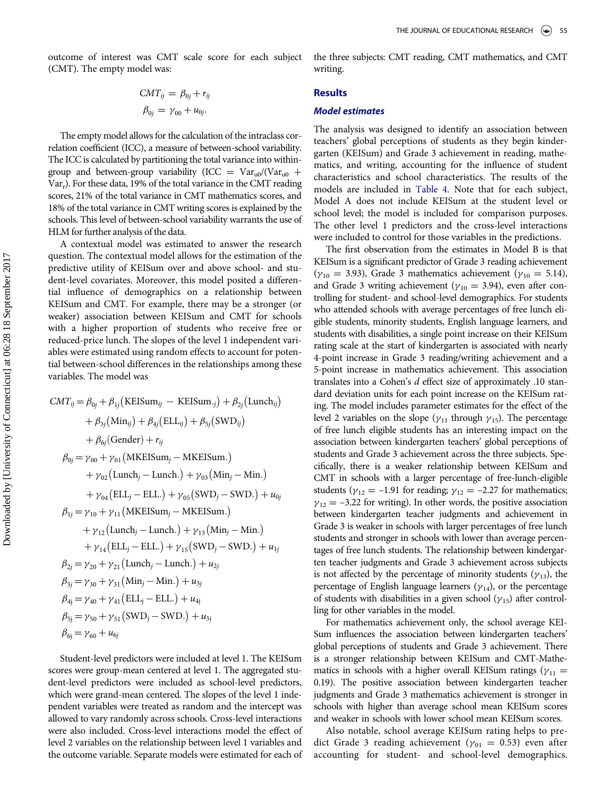outcome of interest was CMT scale score for each subject (CMT). The empty model was:

$$
CMT_{ij} = \beta_{0j} + r_{ij}
$$

$$
\beta_{0j} = \gamma_{00} + u_{0j}.
$$

The empty model allows for the calculation of the intraclass correlation coefficient (ICC), a measure of between-school variability. The ICC is calculated by partitioning the total variance into withingroup and between-group variability (ICC =  $Var_{u0}/(Var_{u0}$  +  $Var<sub>r</sub>$ ). For these data, 19% of the total variance in the CMT reading scores, 21% of the total variance in CMT mathematics scores, and 18% of the total variance in CMT writing scores is explained by the schools. This level of between-school variability warrants the use of HLM for further analysis of the data.

A contextual model was estimated to answer the research question. The contextual model allows for the estimation of the predictive utility of KEISum over and above school- and student-level covariates. Moreover, this model posited a differential influence of demographics on a relationship between KEISum and CMT. For example, there may be a stronger (or weaker) association between KEISum and CMT for schools with a higher proportion of students who receive free or reduced-price lunch. The slopes of the level 1 independent variables were estimated using random effects to account for potential between-school differences in the relationships among these variables. The model was

$$
CMT_{ij} = \beta_{0j} + \beta_{1j} (KEISum_{ij} - KEISum_{\cdot j}) + \beta_{2j} (Lunch_{ij})
$$
  
+  $\beta_{3j} (Min_{ij}) + \beta_{4j} (ELL_{ij}) + \beta_{5j} (SWD_{ij})$   
+  $\beta_{6j} (Gender) + r_{ij}$   
 $\beta_{0j} = \gamma_{00} + \gamma_{01} (MKEISum_j - MKEISum.)$   
+  $\gamma_{02} (Lunch_j - Lunch.) + \gamma_{03} (Min_j - Min.)$   
+  $\gamma_{04} (ELL_j - ELL.) + \gamma_{05} (SWD_j - SWD.) + u_{0j}$   
 $\beta_{1j} = \gamma_{10} + \gamma_{11} (MKEISum_j - MKEISum.)$   
+  $\gamma_{12} (Lunch_j - Lunch.) + \gamma_{13} (Min_j - Min.)$   
+  $\gamma_{14} (ELL_j - ELL.) + \gamma_{15} (SWD_j - SWD.) + u_{1j}$   
 $\beta_{2j} = \gamma_{20} + \gamma_{21} (Lunch_j - Lunch.) + u_{2j}$   
 $\beta_{3j} = \gamma_{30} + \gamma_{31} (Min_j - Min.) + u_{3j}$   
 $\beta_{4j} = \gamma_{40} + \gamma_{41} (ELL_j - ELL.) + u_{4j}$   
 $\beta_{5j} = \gamma_{50} + \gamma_{51} (SWD_j - SWD.) + u_{5j}$   
 $\beta_{6j} = \gamma_{60} + u_{6j}$ 

Student-level predictors were included at level 1. The KEISum scores were group-mean centered at level 1. The aggregated student-level predictors were included as school-level predictors, which were grand-mean centered. The slopes of the level 1 independent variables were treated as random and the intercept was allowed to vary randomly across schools. Cross-level interactions were also included. Cross-level interactions model the effect of level 2 variables on the relationship between level 1 variables and the outcome variable. Separate models were estimated for each of the three subjects: CMT reading, CMT mathematics, and CMT writing.

# **Results**

# Model estimates

The analysis was designed to identify an association between teachers' global perceptions of students as they begin kindergarten (KEISum) and Grade 3 achievement in reading, mathematics, and writing, accounting for the influence of student characteristics and school characteristics. The results of the models are included in [Table 4.](#page-8-0) Note that for each subject, Model A does not include KEISum at the student level or school level; the model is included for comparison purposes. The other level 1 predictors and the cross-level interactions were included to control for those variables in the predictions.

The first observation from the estimates in Model B is that KEISum is a significant predictor of Grade 3 reading achievement ( $\gamma_{10}$  = 3.93), Grade 3 mathematics achievement ( $\gamma_{10}$  = 5.14), and Grade 3 writing achievement ( $\gamma_{10} = 3.94$ ), even after controlling for student- and school-level demographics. For students who attended schools with average percentages of free lunch eligible students, minority students, English language learners, and students with disabilities, a single point increase on their KEISum rating scale at the start of kindergarten is associated with nearly 4-point increase in Grade 3 reading/writing achievement and a 5-point increase in mathematics achievement. This association translates into a Cohen's d effect size of approximately .10 standard deviation units for each point increase on the KEISum rating. The model includes parameter estimates for the effect of the level 2 variables on the slope ( $\gamma_{11}$  through  $\gamma_{15}$ ). The percentage of free lunch eligible students has an interesting impact on the association between kindergarten teachers' global perceptions of students and Grade 3 achievement across the three subjects. Specifically, there is a weaker relationship between KEISum and CMT in schools with a larger percentage of free-lunch-eligible students ( $\gamma_{12} = -1.91$  for reading;  $\gamma_{12} = -2.27$  for mathematics;  $\gamma_{12} = -3.22$  for writing). In other words, the positive association between kindergarten teacher judgments and achievement in Grade 3 is weaker in schools with larger percentages of free lunch students and stronger in schools with lower than average percentages of free lunch students. The relationship between kindergarten teacher judgments and Grade 3 achievement across subjects is not affected by the percentage of minority students ( $\gamma_{13}$ ), the percentage of English language learners  $(\gamma_{14})$ , or the percentage of students with disabilities in a given school ( $\gamma_{15}$ ) after controlling for other variables in the model.

For mathematics achievement only, the school average KEI-Sum influences the association between kindergarten teachers' global perceptions of students and Grade 3 achievement. There is a stronger relationship between KEISum and CMT-Mathematics in schools with a higher overall KEISum ratings ( $\gamma_{11} =$ 0.19). The positive association between kindergarten teacher judgments and Grade 3 mathematics achievement is stronger in schools with higher than average school mean KEISum scores and weaker in schools with lower school mean KEISum scores.

Also notable, school average KEISum rating helps to predict Grade 3 reading achievement ( $\gamma_{01} = 0.53$ ) even after accounting for student- and school-level demographics.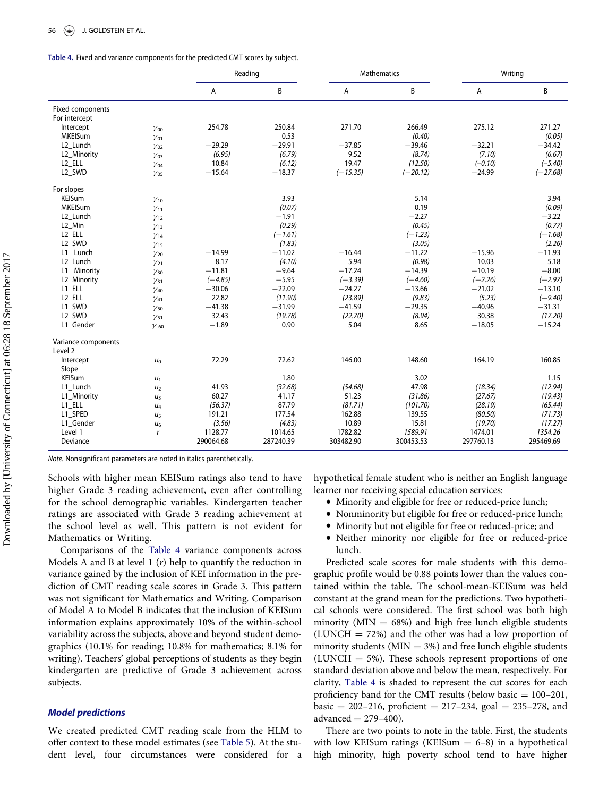| Table 4. Fixed and variance components for the predicted CMT scores by subject. |  |  |
|---------------------------------------------------------------------------------|--|--|
|---------------------------------------------------------------------------------|--|--|

|                                |                | Reading   |           | Mathematics |            | Writing   |            |
|--------------------------------|----------------|-----------|-----------|-------------|------------|-----------|------------|
|                                |                | А         | B         | Α           | В          | Α         | B          |
| Fixed components               |                |           |           |             |            |           |            |
| For intercept                  |                |           |           |             |            |           |            |
| Intercept                      | $\gamma_{00}$  | 254.78    | 250.84    | 271.70      | 266.49     | 275.12    | 271.27     |
| <b>MKEISum</b>                 | $\gamma_{01}$  |           | 0.53      |             | (0.40)     |           | (0.05)     |
| L <sub>2</sub> Lunch           | $y_{02}$       | $-29.29$  | $-29.91$  | $-37.85$    | $-39.46$   | $-32.21$  | $-34.42$   |
| L2 Minority                    | $y_{03}$       | (6.95)    | (6.79)    | 9.52        | (8.74)     | (7.10)    | (6.67)     |
| L <sub>2</sub> _ELL            | $y_{04}$       | 10.84     | (6.12)    | 19.47       | (12.50)    | $(-0.10)$ | $(-5.40)$  |
| L <sub>2_SWD</sub>             | $y_{05}$       | $-15.64$  | $-18.37$  | $(-15.35)$  | $(-20.12)$ | $-24.99$  | $(-27.68)$ |
| For slopes                     |                |           |           |             |            |           |            |
| <b>KEISum</b>                  | $\gamma_{10}$  |           | 3.93      |             | 5.14       |           | 3.94       |
| <b>MKEISum</b>                 | $y_{11}$       |           | (0.07)    |             | 0.19       |           | (0.09)     |
| L <sub>2</sub> Lunch           | $y_{12}$       |           | $-1.91$   |             | $-2.27$    |           | $-3.22$    |
| L2 Min                         | $y_{13}$       |           | (0.29)    |             | (0.45)     |           | (0.77)     |
| L2 ELL                         | $\gamma_{14}$  |           | $(-1.61)$ |             | $(-1.23)$  |           | $(-1.68)$  |
| L2 SWD                         | $y_{15}$       |           | (1.83)    |             | (3.05)     |           | (2.26)     |
| L1 Lunch                       | $y_{20}$       | $-14.99$  | $-11.02$  | $-16.44$    | $-11.22$   | $-15.96$  | $-11.93$   |
| L <sub>2</sub> Lunch           | $y_{21}$       | 8.17      | (4.10)    | 5.94        | (0.98)     | 10.03     | 5.18       |
| L1 Minority                    | $y_{30}$       | $-11.81$  | $-9.64$   | $-17.24$    | $-14.39$   | $-10.19$  | $-8.00$    |
| L2 Minority                    | $y_{31}$       | $(-4.85)$ | $-5.95$   | $(-3.39)$   | $(-4.60)$  | $(-2.26)$ | $(-2.97)$  |
| L1_ELL                         | $\gamma_{40}$  | $-30.06$  | $-22.09$  | $-24.27$    | $-13.66$   | $-21.02$  | $-13.10$   |
| L <sub>2</sub> _ELL            | $y_{41}$       | 22.82     | (11.90)   | (23.89)     | (9.83)     | (5.23)    | $(-9.40)$  |
| L1_SWD                         | $y_{50}$       | $-41.38$  | $-31.99$  | $-41.59$    | $-29.35$   | $-40.96$  | $-31.31$   |
| L <sub>2_SWD</sub>             | $y_{51}$       | 32.43     | (19.78)   | (22.70)     | (8.94)     | 30.38     | (17.20)    |
| L1 Gender                      | $\gamma$ 60    | $-1.89$   | 0.90      | 5.04        | 8.65       | $-18.05$  | $-15.24$   |
| Variance components<br>Level 2 |                |           |           |             |            |           |            |
| Intercept                      | u <sub>0</sub> | 72.29     | 72.62     | 146.00      | 148.60     | 164.19    | 160.85     |
| Slope                          |                |           |           |             |            |           |            |
| <b>KEISum</b>                  | $u_1$          |           | 1.80      |             | 3.02       |           | 1.15       |
| L1 Lunch                       | u <sub>2</sub> | 41.93     | (32.68)   | (54.68)     | 47.98      | (18.34)   | (12.94)    |
| L1 Minority                    | u <sub>3</sub> | 60.27     | 41.17     | 51.23       | (31.86)    | (27.67)   | (19.43)    |
| L1 ELL                         | $U_4$          | (56.37)   | 87.79     | (81.71)     | (101.70)   | (28.19)   | (65.44)    |
| L1 SPED                        | u <sub>5</sub> | 191.21    | 177.54    | 162.88      | 139.55     | (80.50)   | (71.73)    |
| L1_Gender                      | $U_6$          | (3.56)    | (4.83)    | 10.89       | 15.81      | (19.70)   | (17.27)    |
| Level 1                        | $\mathsf{r}$   | 1128.77   | 1014.65   | 1782.82     | 1589.91    | 1474.01   | 1354.26    |
| Deviance                       |                | 290064.68 | 287240.39 | 303482.90   | 300453.53  | 297760.13 | 295469.69  |

<span id="page-8-0"></span>Note. Nonsignificant parameters are noted in italics parenthetically.

Schools with higher mean KEISum ratings also tend to have higher Grade 3 reading achievement, even after controlling for the school demographic variables. Kindergarten teacher ratings are associated with Grade 3 reading achievement at the school level as well. This pattern is not evident for Mathematics or Writing.

Comparisons of the [Table 4](#page-8-0) variance components across Models A and B at level 1  $(r)$  help to quantify the reduction in variance gained by the inclusion of KEI information in the prediction of CMT reading scale scores in Grade 3. This pattern was not significant for Mathematics and Writing. Comparison of Model A to Model B indicates that the inclusion of KEISum information explains approximately 10% of the within-school variability across the subjects, above and beyond student demographics (10.1% for reading; 10.8% for mathematics; 8.1% for writing). Teachers' global perceptions of students as they begin kindergarten are predictive of Grade 3 achievement across subjects.

# Model predictions

We created predicted CMT reading scale from the HLM to offer context to these model estimates (see [Table 5\)](#page-9-0). At the student level, four circumstances were considered for a

hypothetical female student who is neither an English language learner nor receiving special education services:

- Minority and eligible for free or reduced-price lunch;
- $\bullet$ Nonminority but eligible for free or reduced-price lunch;
- $\bullet$ Minority but not eligible for free or reduced-price; and
- Neither minority nor eligible for free or reduced-price lunch.

Predicted scale scores for male students with this demographic profile would be 0.88 points lower than the values contained within the table. The school-mean-KEISum was held constant at the grand mean for the predictions. Two hypothetical schools were considered. The first school was both high minority (MIN  $= 68\%$ ) and high free lunch eligible students  $(LUNCH = 72%)$  and the other was had a low proportion of minority students ( $MIN = 3\%$ ) and free lunch eligible students (LUNCH  $=$  5%). These schools represent proportions of one standard deviation above and below the mean, respectively. For clarity, [Table 4](#page-8-0) is shaded to represent the cut scores for each proficiency band for the CMT results (below basic  $= 100-201$ , basic = 202–216, proficient = 217–234, goal = 235–278, and advanced  $= 279-400$ ).

There are two points to note in the table. First, the students with low KEISum ratings (KEISum  $= 6-8$ ) in a hypothetical high minority, high poverty school tend to have higher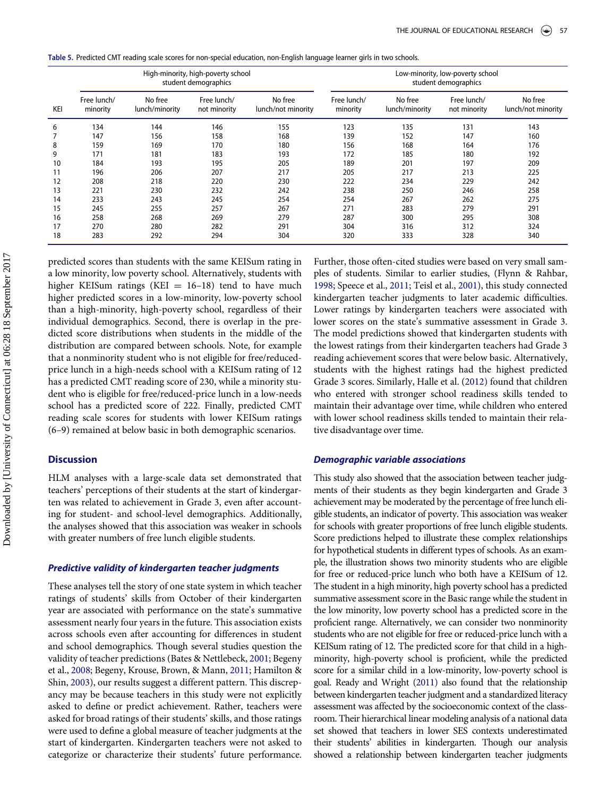<span id="page-9-0"></span>Table 5. Predicted CMT reading scale scores for non-special education, non-English language learner girls in two schools.

|     | High-minority, high-poverty school<br>student demographics |                           |                             |                               |                         | Low-minority, low-poverty school<br>student demographics |                             |                               |  |
|-----|------------------------------------------------------------|---------------------------|-----------------------------|-------------------------------|-------------------------|----------------------------------------------------------|-----------------------------|-------------------------------|--|
| KEI | Free lunch/<br>minority                                    | No free<br>lunch/minority | Free lunch/<br>not minority | No free<br>lunch/not minority | Free lunch/<br>minority | No free<br>lunch/minority                                | Free lunch/<br>not minority | No free<br>lunch/not minority |  |
| 6   | 134                                                        | 144                       | 146                         | 155                           | 123                     | 135                                                      | 131                         | 143                           |  |
|     | 147                                                        | 156                       | 158                         | 168                           | 139                     | 152                                                      | 147                         | 160                           |  |
| 8   | 159                                                        | 169                       | 170                         | 180                           | 156                     | 168                                                      | 164                         | 176                           |  |
| 9   | 171                                                        | 181                       | 183                         | 193                           | 172                     | 185                                                      | 180                         | 192                           |  |
| 10  | 184                                                        | 193                       | 195                         | 205                           | 189                     | 201                                                      | 197                         | 209                           |  |
| 11  | 196                                                        | 206                       | 207                         | 217                           | 205                     | 217                                                      | 213                         | 225                           |  |
| 12  | 208                                                        | 218                       | 220                         | 230                           | 222                     | 234                                                      | 229                         | 242                           |  |
| 13  | 221                                                        | 230                       | 232                         | 242                           | 238                     | 250                                                      | 246                         | 258                           |  |
| 14  | 233                                                        | 243                       | 245                         | 254                           | 254                     | 267                                                      | 262                         | 275                           |  |
| 15  | 245                                                        | 255                       | 257                         | 267                           | 271                     | 283                                                      | 279                         | 291                           |  |
| 16  | 258                                                        | 268                       | 269                         | 279                           | 287                     | 300                                                      | 295                         | 308                           |  |
| 17  | 270                                                        | 280                       | 282                         | 291                           | 304                     | 316                                                      | 312                         | 324                           |  |
| 18  | 283                                                        | 292                       | 294                         | 304                           | 320                     | 333                                                      | 328                         | 340                           |  |

predicted scores than students with the same KEISum rating in a low minority, low poverty school. Alternatively, students with higher KEISum ratings (KEI  $= 16-18$ ) tend to have much higher predicted scores in a low-minority, low-poverty school than a high-minority, high-poverty school, regardless of their individual demographics. Second, there is overlap in the predicted score distributions when students in the middle of the distribution are compared between schools. Note, for example that a nonminority student who is not eligible for free/reducedprice lunch in a high-needs school with a KEISum rating of 12 has a predicted CMT reading score of 230, while a minority student who is eligible for free/reduced-price lunch in a low-needs school has a predicted score of 222. Finally, predicted CMT reading scale scores for students with lower KEISum ratings (6–9) remained at below basic in both demographic scenarios.

## **Discussion**

HLM analyses with a large-scale data set demonstrated that teachers' perceptions of their students at the start of kindergarten was related to achievement in Grade 3, even after accounting for student- and school-level demographics. Additionally, the analyses showed that this association was weaker in schools with greater numbers of free lunch eligible students.

#### Predictive validity of kindergarten teacher judgments

These analyses tell the story of one state system in which teacher ratings of students' skills from October of their kindergarten year are associated with performance on the state's summative assessment nearly four years in the future. This association exists across schools even after accounting for differences in student and school demographics. Though several studies question the validity of teacher predictions (Bates & Nettlebeck, [2001](#page-10-9); Begeny et al., [2008;](#page-10-8) Begeny, Krouse, Brown, & Mann, [2011;](#page-10-12) Hamilton & Shin, [2003](#page-11-24)), our results suggest a different pattern. This discrepancy may be because teachers in this study were not explicitly asked to define or predict achievement. Rather, teachers were asked for broad ratings of their students' skills, and those ratings were used to define a global measure of teacher judgments at the start of kindergarten. Kindergarten teachers were not asked to categorize or characterize their students' future performance. Further, those often-cited studies were based on very small samples of students. Similar to earlier studies, (Flynn & Rahbar, [1998](#page-11-41); Speece et al., [2011;](#page-12-4) Teisl et al., [2001\)](#page-12-5), this study connected kindergarten teacher judgments to later academic difficulties. Lower ratings by kindergarten teachers were associated with lower scores on the state's summative assessment in Grade 3. The model predictions showed that kindergarten students with the lowest ratings from their kindergarten teachers had Grade 3 reading achievement scores that were below basic. Alternatively, students with the highest ratings had the highest predicted Grade 3 scores. Similarly, Halle et al. [\(2012\)](#page-11-20) found that children who entered with stronger school readiness skills tended to maintain their advantage over time, while children who entered with lower school readiness skills tended to maintain their relative disadvantage over time.

# Demographic variable associations

This study also showed that the association between teacher judgments of their students as they begin kindergarten and Grade 3 achievement may be moderated by the percentage of free lunch eligible students, an indicator of poverty. This association was weaker for schools with greater proportions of free lunch eligible students. Score predictions helped to illustrate these complex relationships for hypothetical students in different types of schools. As an example, the illustration shows two minority students who are eligible for free or reduced-price lunch who both have a KEISum of 12. The student in a high minority, high poverty school has a predicted summative assessment score in the Basic range while the student in the low minority, low poverty school has a predicted score in the proficient range. Alternatively, we can consider two nonminority students who are not eligible for free or reduced-price lunch with a KEISum rating of 12. The predicted score for that child in a highminority, high-poverty school is proficient, while the predicted score for a similar child in a low-minority, low-poverty school is goal. Ready and Wright ([2011\)](#page-11-31) also found that the relationship between kindergarten teacher judgment and a standardized literacy assessment was affected by the socioeconomic context of the classroom. Their hierarchical linear modeling analysis of a national data set showed that teachers in lower SES contexts underestimated their students' abilities in kindergarten. Though our analysis showed a relationship between kindergarten teacher judgments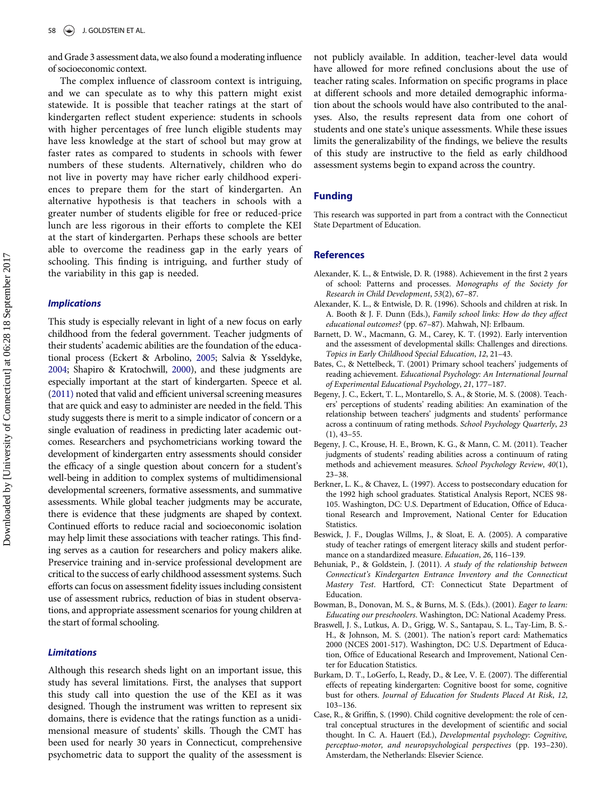and Grade 3 assessment data, we also found a moderating influence of socioeconomic context.

The complex influence of classroom context is intriguing, and we can speculate as to why this pattern might exist statewide. It is possible that teacher ratings at the start of kindergarten reflect student experience: students in schools with higher percentages of free lunch eligible students may have less knowledge at the start of school but may grow at faster rates as compared to students in schools with fewer numbers of these students. Alternatively, children who do not live in poverty may have richer early childhood experiences to prepare them for the start of kindergarten. An alternative hypothesis is that teachers in schools with a greater number of students eligible for free or reduced-price lunch are less rigorous in their efforts to complete the KEI at the start of kindergarten. Perhaps these schools are better able to overcome the readiness gap in the early years of schooling. This finding is intriguing, and further study of the variability in this gap is needed.

#### <span id="page-10-1"></span><span id="page-10-0"></span>Implications

<span id="page-10-12"></span><span id="page-10-9"></span><span id="page-10-8"></span><span id="page-10-7"></span><span id="page-10-4"></span>This study is especially relevant in light of a new focus on early childhood from the federal government. Teacher judgments of their students' academic abilities are the foundation of the educational process (Eckert & Arbolino, [2005;](#page-11-42) Salvia & Ysseldyke, [2004;](#page-11-43) Shapiro & Kratochwill, [2000\)](#page-11-44), and these judgments are especially important at the start of kindergarten. Speece et al. [\(2011\)](#page-12-4) noted that valid and efficient universal screening measures that are quick and easy to administer are needed in the field. This study suggests there is merit to a simple indicator of concern or a single evaluation of readiness in predicting later academic outcomes. Researchers and psychometricians working toward the development of kindergarten entry assessments should consider the efficacy of a single question about concern for a student's well-being in addition to complex systems of multidimensional developmental screeners, formative assessments, and summative assessments. While global teacher judgments may be accurate, there is evidence that these judgments are shaped by context. Continued efforts to reduce racial and socioeconomic isolation may help limit these associations with teacher ratings. This finding serves as a caution for researchers and policy makers alike. Preservice training and in-service professional development are critical to the success of early childhood assessment systems. Such efforts can focus on assessment fidelity issues including consistent use of assessment rubrics, reduction of bias in student observations, and appropriate assessment scenarios for young children at the start of formal schooling.

# <span id="page-10-11"></span><span id="page-10-6"></span><span id="page-10-5"></span><span id="page-10-2"></span>Limitations

<span id="page-10-10"></span><span id="page-10-3"></span>Although this research sheds light on an important issue, this study has several limitations. First, the analyses that support this study call into question the use of the KEI as it was designed. Though the instrument was written to represent six domains, there is evidence that the ratings function as a unidimensional measure of students' skills. Though the CMT has been used for nearly 30 years in Connecticut, comprehensive psychometric data to support the quality of the assessment is not publicly available. In addition, teacher-level data would have allowed for more refined conclusions about the use of teacher rating scales. Information on specific programs in place at different schools and more detailed demographic information about the schools would have also contributed to the analyses. Also, the results represent data from one cohort of students and one state's unique assessments. While these issues limits the generalizability of the findings, we believe the results of this study are instructive to the field as early childhood assessment systems begin to expand across the country.

# Funding

This research was supported in part from a contract with the Connecticut State Department of Education.

#### **References**

- Alexander, K. L., & Entwisle, D. R. (1988). Achievement in the first 2 years of school: Patterns and processes. Monographs of the Society for Research in Child Development, 53(2), 67–87.
- Alexander, K. L., & Entwisle, D. R. (1996). Schools and children at risk. In A. Booth & J. F. Dunn (Eds.), Family school links: How do they affect educational outcomes? (pp. 67–87). Mahwah, NJ: Erlbaum.
- Barnett, D. W., Macmann, G. M., Carey, K. T. (1992). Early intervention and the assessment of developmental skills: Challenges and directions. Topics in Early Childhood Special Education, 12, 21–43.
- Bates, C., & Nettelbeck, T. (2001) Primary school teachers' judgements of reading achievement. Educational Psychology: An International Journal of Experimental Educational Psychology, 21, 177–187.
- Begeny, J. C., Eckert, T. L., Montarello, S. A., & Storie, M. S. (2008). Teachers' perceptions of students' reading abilities: An examination of the relationship between teachers' judgments and students' performance across a continuum of rating methods. School Psychology Quarterly, 23  $(1), 43-55.$
- Begeny, J. C., Krouse, H. E., Brown, K. G., & Mann, C. M. (2011). Teacher judgments of students' reading abilities across a continuum of rating methods and achievement measures. School Psychology Review, 40(1), 23–38.
- Berkner, L. K., & Chavez, L. (1997). Access to postsecondary education for the 1992 high school graduates. Statistical Analysis Report, NCES 98- 105. Washington, DC: U.S. Department of Education, Office of Educational Research and Improvement, National Center for Education Statistics.
- Beswick, J. F., Douglas Willms, J., & Sloat, E. A. (2005). A comparative study of teacher ratings of emergent literacy skills and student performance on a standardized measure. Education, 26, 116–139.
- Behuniak, P., & Goldstein, J. (2011). A study of the relationship between Connecticut's Kindergarten Entrance Inventory and the Connecticut Mastery Test. Hartford, CT: Connecticut State Department of Education.
- Bowman, B., Donovan, M. S., & Burns, M. S. (Eds.). (2001). Eager to learn: Educating our preschoolers. Washington, DC: National Academy Press.
- Braswell, J. S., Lutkus, A. D., Grigg, W. S., Santapau, S. L., Tay-Lim, B. S.- H., & Johnson, M. S. (2001). The nation's report card: Mathematics 2000 (NCES 2001-517). Washington, DC: U.S. Department of Education, Office of Educational Research and Improvement, National Center for Education Statistics.
- Burkam, D. T., LoGerfo, L, Ready, D., & Lee, V. E. (2007). The differential effects of repeating kindergarten: Cognitive boost for some, cognitive bust for others. Journal of Education for Students Placed At Risk, 12, 103–136.
- Case, R., & Griffin, S. (1990). Child cognitive development: the role of central conceptual structures in the development of scientific and social thought. In C. A. Hauert (Ed.), Developmental psychology: Cognitive, perceptuo-motor, and neuropsychological perspectives (pp. 193–230). Amsterdam, the Netherlands: Elsevier Science.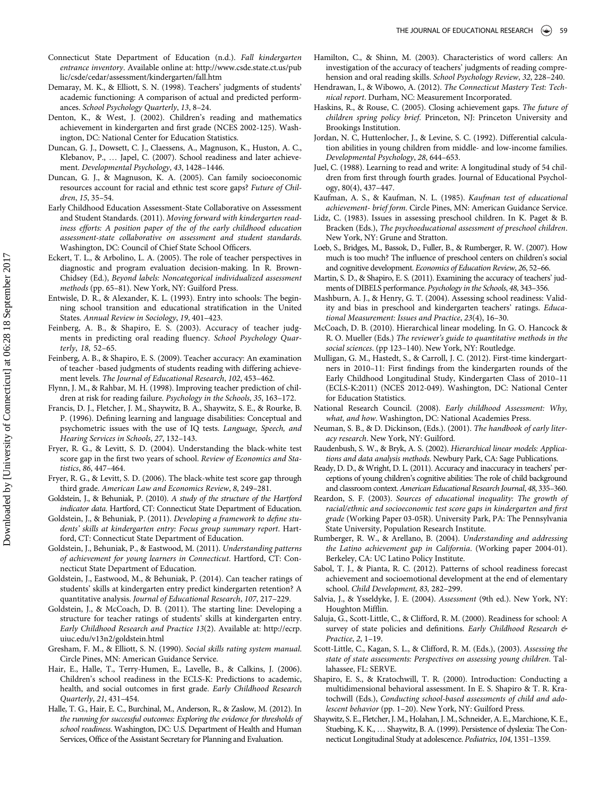- <span id="page-11-35"></span><span id="page-11-24"></span>Connecticut State Department of Education (n.d.). Fall kindergarten entrance inventory. Available online at: [http://www.csde.state.ct.us/pub](http://www.csde.state.ct.us/public/csde/cedar/assessment/kindergarten/fall.htm) [lic/csde/cedar/assessment/kindergarten/fall.htm](http://www.csde.state.ct.us/public/csde/cedar/assessment/kindergarten/fall.htm)
- <span id="page-11-36"></span><span id="page-11-27"></span>Demaray, M. K., & Elliott, S. N. (1998). Teachers' judgments of students' academic functioning: A comparison of actual and predicted performances. School Psychology Quarterly, 13, 8–24.
- <span id="page-11-12"></span><span id="page-11-9"></span>Denton, K., & West, J. (2002). Children's reading and mathematics achievement in kindergarten and first grade (NCES 2002-125). Washington, DC: National Center for Education Statistics.
- <span id="page-11-8"></span><span id="page-11-1"></span>Duncan, G. J., Dowsett, C. J., Claessens, A., Magnuson, K., Huston, A. C., Klebanov, P., … Japel, C. (2007). School readiness and later achievement. Developmental Psychology, 43, 1428–1446.
- <span id="page-11-14"></span><span id="page-11-4"></span>Duncan, G. J., & Magnuson, K. A. (2005). Can family socioeconomic resources account for racial and ethnic test score gaps? Future of Children, 15, 35–54.
- <span id="page-11-29"></span><span id="page-11-23"></span><span id="page-11-21"></span>Early Childhood Education Assessment-State Collaborative on Assessment and Student Standards. (2011). Moving forward with kindergarten readiness efforts: A position paper of the of the early childhood education assessment-state collaborative on assessment and student standards. Washington, DC: Council of Chief State School Officers.
- <span id="page-11-42"></span><span id="page-11-30"></span><span id="page-11-13"></span>Eckert, T. L., & Arbolino, L. A. (2005). The role of teacher perspectives in diagnostic and program evaluation decision-making. In R. Brown-Chidsey (Ed.), Beyond labels: Noncategorical individualized assessment methods (pp. 65–81). New York, NY: Guilford Press.
- <span id="page-11-32"></span><span id="page-11-10"></span>Entwisle, D. R., & Alexander, K. L. (1993). Entry into schools: The beginning school transition and educational stratification in the United States. Annual Review in Sociology, 19, 401–423.
- <span id="page-11-39"></span><span id="page-11-25"></span>Feinberg, A. B., & Shapiro, E. S. (2003). Accuracy of teacher judgments in predicting oral reading fluency. School Psychology Quarterly, 18, 52–65.
- <span id="page-11-26"></span><span id="page-11-18"></span>Feinberg, A. B., & Shapiro, E. S. (2009). Teacher accuracy: An examination of teacher -based judgments of students reading with differing achievement levels. The Journal of Educational Research, 102, 453–462.
- <span id="page-11-41"></span>Flynn, J. M., & Rahbar, M. H. (1998). Improving teacher prediction of children at risk for reading failure. Psychology in the Schools, 35, 163–172.
- <span id="page-11-6"></span><span id="page-11-2"></span><span id="page-11-0"></span>Francis, D. J., Fletcher, J. M., Shaywitz, B. A., Shaywitz, S. E., & Rourke, B. P. (1996). Defining learning and language disabilities: Conceptual and psychometric issues with the use of IQ tests. Language, Speech, and Hearing Services in Schools, 27, 132–143.
- <span id="page-11-40"></span><span id="page-11-15"></span>Fryer, R. G., & Levitt, S. D. (2004). Understanding the black-white test score gap in the first two years of school. Review of Economics and Statistics, 86, 447–464.
- <span id="page-11-31"></span><span id="page-11-11"></span>Fryer, R. G., & Levitt, S. D. (2006). The black-white test score gap through third grade. American Law and Economics Review, 8, 249–281.
- <span id="page-11-37"></span><span id="page-11-16"></span>Goldstein, J., & Behuniak, P. (2010). A study of the structure of the Hartford indicator data. Hartford, CT: Connecticut State Department of Education.
- Goldstein, J., & Behuniak, P. (2011). Developing a framework to define students' skills at kindergarten entry: Focus group summary report. Hartford, CT: Connecticut State Department of Education.
- <span id="page-11-38"></span><span id="page-11-17"></span>Goldstein, J., Behuniak, P., & Eastwood, M. (2011). Understanding patterns of achievement for young learners in Connecticut. Hartford, CT: Connecticut State Department of Education.
- <span id="page-11-33"></span><span id="page-11-5"></span>Goldstein, J., Eastwood, M., & Behuniak, P. (2014). Can teacher ratings of students' skills at kindergarten entry predict kindergarten retention? A quantitative analysis. Journal of Educational Research, 107, 217–229.
- <span id="page-11-43"></span><span id="page-11-34"></span><span id="page-11-3"></span>Goldstein, J., & McCoach, D. B. (2011). The starting line: Developing a structure for teacher ratings of students' skills at kindergarten entry. Early Childhood Research and Practice 13(2). Available at: [http://ecrp.](http://ecrp.uiuc.edu/v13n2/goldstein.html) [uiuc.edu/v13n2/goldstein.html](http://ecrp.uiuc.edu/v13n2/goldstein.html)
- <span id="page-11-28"></span><span id="page-11-22"></span>Gresham, F. M., & Elliott, S. N. (1990). Social skills rating system manual. Circle Pines, MN: American Guidance Service.
- <span id="page-11-44"></span><span id="page-11-19"></span>Hair, E., Halle, T., Terry-Humen, E., Lavelle, B., & Calkins, J. (2006). Children's school readiness in the ECLS-K: Predictions to academic, health, and social outcomes in first grade. Early Childhood Research Quarterly, 21, 431–454.
- <span id="page-11-20"></span><span id="page-11-7"></span>Halle, T. G., Hair, E. C., Burchinal, M., Anderson, R., & Zaslow, M. (2012). In the running for successful outcomes: Exploring the evidence for thresholds of school readiness. Washington, DC: U.S. Department of Health and Human Services, Office of the Assistant Secretary for Planning and Evaluation.
- Hamilton, C., & Shinn, M. (2003). Characteristics of word callers: An investigation of the accuracy of teachers' judgments of reading comprehension and oral reading skills. School Psychology Review, 32, 228–240.
- Hendrawan, I., & Wibowo, A. (2012). The Connecticut Mastery Test: Technical report. Durham, NC: Measurement Incorporated.
- Haskins, R., & Rouse, C. (2005). Closing achievement gaps. The future of children spring policy brief. Princeton, NJ: Princeton University and Brookings Institution.
- Jordan, N. C, Huttenlocher, J., & Levine, S. C. (1992). Differential calculation abilities in young children from middle- and low-income families. Developmental Psychology, 28, 644–653.
- Juel, C. (1988). Learning to read and write: A longitudinal study of 54 children from first through fourth grades. Journal of Educational Psychology, 80(4), 437–447.
- Kaufman, A. S., & Kaufman, N. L. (1985). Kaufman test of educational achievement- brief form. Circle Pines, MN: American Guidance Service.
- Lidz, C. (1983). Issues in assessing preschool children. In K. Paget & B. Bracken (Eds.), The psychoeducational assessment of preschool children. New York, NY: Grune and Stratton.
- Loeb, S., Bridges, M., Bassok, D., Fuller, B., & Rumberger, R. W. (2007). How much is too much? The influence of preschool centers on children's social and cognitive development. Economics of Education Review, 26, 52–66.
- Martin, S. D., & Shapiro, E. S. (2011). Examining the accuracy of teachers' judments of DIBELS performance. Psychology in the Schools, 48, 343–356.
- Mashburn, A. J., & Henry, G. T. (2004). Assessing school readiness: Validity and bias in preschool and kindergarten teachers' ratings. Educational Measurement: Issues and Practice, 23(4), 16–30.
- McCoach, D. B. (2010). Hierarchical linear modeling. In G. O. Hancock & R. O. Mueller (Eds.) The reviewer's guide to quantitative methods in the social sciences. (pp 123–140). New York, NY: Routledge.
- Mulligan, G. M., Hastedt, S., & Carroll, J. C. (2012). First-time kindergartners in 2010–11: First findings from the kindergarten rounds of the Early Childhood Longitudinal Study, Kindergarten Class of 2010–11 (ECLS-K:2011) (NCES 2012-049). Washington, DC: National Center for Education Statistics.
- National Research Council. (2008). Early childhood Assessment: Why, what, and how. Washington, DC: National Academies Press.
- Neuman, S. B., & D. Dickinson, (Eds.). (2001). The handbook of early literacy research. New York, NY: Guilford.
- Raudenbush, S. W., & Bryk, A. S. (2002). Hierarchical linear models: Applications and data analysis methods. Newbury Park, CA: Sage Publications.
- Ready, D. D., & Wright, D. L. (2011). Accuracy and inaccuracy in teachers' perceptions of young children's cognitive abilities: The role of child background and classroom context. American Educational Research Journal, 48, 335–360.
- Reardon, S. F. (2003). Sources of educational inequality: The growth of racial/ethnic and socioeconomic test score gaps in kindergarten and first grade (Working Paper 03-05R). University Park, PA: The Pennsylvania State University, Population Research Institute.
- Rumberger, R. W., & Arellano, B. (2004). Understanding and addressing the Latino achievement gap in California. (Working paper 2004-01). Berkeley, CA: UC Latino Policy Institute.
- Sabol, T. J., & Pianta, R. C. (2012). Patterns of school readiness forecast achievement and socioemotional development at the end of elementary school. Child Development, 83, 282–299.
- Salvia, J., & Ysseldyke, J. E. (2004). Assessment (9th ed.). New York, NY: Houghton Mifflin.
- Saluja, G., Scott-Little, C., & Clifford, R. M. (2000). Readiness for school: A survey of state policies and definitions. Early Childhood Research & Practice, 2, 1–19.
- Scott-Little, C., Kagan, S. L., & Clifford, R. M. (Eds.), (2003). Assessing the state of state assessments: Perspectives on assessing young children. Tallahassee, FL: SERVE.
- Shapiro, E. S., & Kratochwill, T. R. (2000). Introduction: Conducting a multidimensional behavioral assessment. In E. S. Shapiro & T. R. Kratochwill (Eds.), Conducting school-based assessments of child and adolescent behavior (pp. 1–20). New York, NY: Guilford Press.
- Shaywitz, S. E., Fletcher, J. M., Holahan, J. M., Schneider, A. E., Marchione, K. E., Stuebing, K. K., … Shaywitz, B. A. (1999). Persistence of dyslexia: The Connecticut Longitudinal Study at adolescence. Pediatrics, 104, 1351–1359.